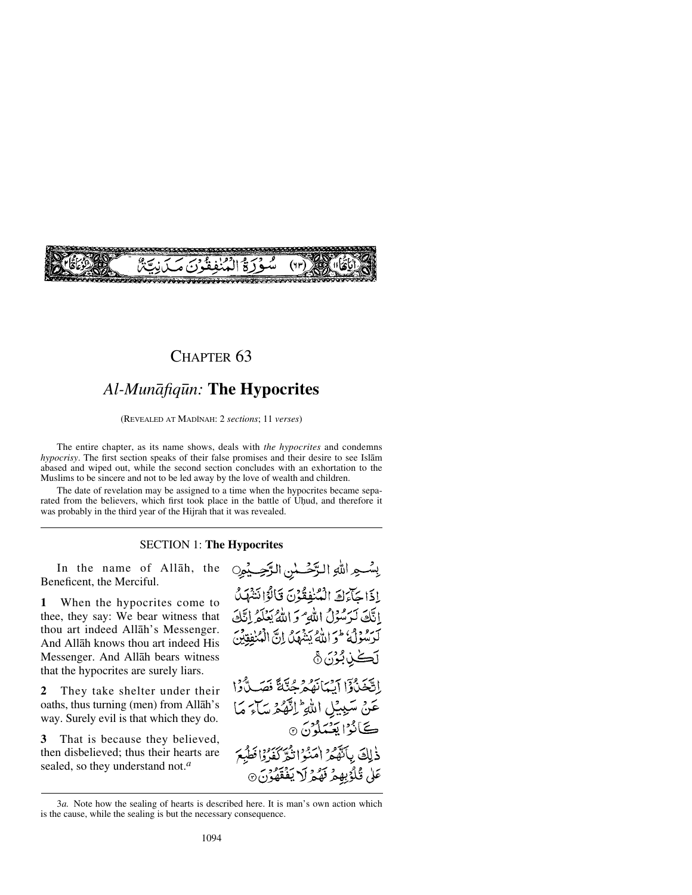

## CHAPTER<sub>63</sub>

## *Al-Munåfiq∂n:* **The Hypocrites**

(REVEALED AT MADÍNAH: 2 *sections*; 11 *verses*)

The entire chapter, as its name shows, deals with *the hypocrites* and condemns *hypocrisy*. The first section speaks of their false promises and their desire to see Islåm abased and wiped out, while the second section concludes with an exhortation to the Muslims to be sincere and not to be led away by the love of wealth and children.

The date of revelation may be assigned to a time when the hypocrites became separated from the believers, which first took place in the battle of Uhud, and therefore it was probably in the third year of the Hijrah that it was revealed.

#### SECTION 1: **The Hypocrites**

In the name of Allåh, the Beneficent, the Merciful.

**1** When the hypocrites come to thee, they say: We bear witness that thou art indeed Allåh's Messenger. And Allåh knows thou art indeed His Messenger. And Allåh bears witness that the hypocrites are surely liars.

**2** They take shelter under their oaths, thus turning (men) from Allåh's way. Surely evil is that which they do.

**3** That is because they believed, then disbelieved; thus their hearts are sealed, so they understand not.*<sup>a</sup>*

بِشْعِهِ اللَّهِ الرَّحْسُنِ الرَّحِيْمِ إِذَا حَاءَكَ الْمُنْفِقُونَ قَالُوْا نَشْهَدُ اتَّكَ لَرَسُولُ اللَّهِ وَاللَّهُ يَعْلَمُ إِنَّكَ كرمودي والله يَشْهَدُ إِنَّ الْمُنْفِقِينَ ڷٙٞٙڂڹڷٷؘڽؘ۞ اتَّخَنْ وَ الْبَمَانَهُمْ حُتَّةً فَصَلَّ وَا عَنْ سَبِيْلِ اللَّهِ ۖ إِنَّهُ مِمَّ سَاءَ مَا ڪَانُوُ ايَ*جِيُ*دلُوْنَ @ ذٰلِكَ بِٱنْهُمْ امْنُوَاتِمْ كَفَرُوْافْطُبِعَ عَلَىٰ قُلُوْبِهِمْ نَهْمُ لَا يَفْقَهُوْنَ ۞

<sup>3</sup>*a.* Note how the sealing of hearts is described here. It is man's own action which is the cause, while the sealing is but the necessary consequence.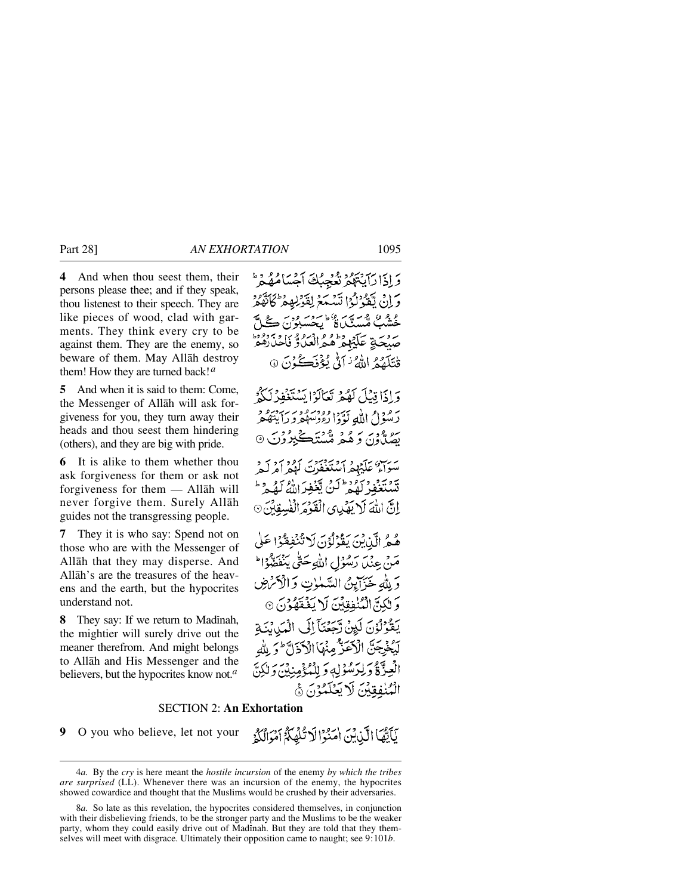**4** And when thou seest them, their persons please thee; and if they speak, thou listenest to their speech. They are like pieces of wood, clad with garments. They think every cry to be against them. They are the enemy, so beware of them. May Allåh destroy them! How they are turned back!*<sup>a</sup>*

**5** And when it is said to them: Come, the Messenger of Allåh will ask forgiveness for you, they turn away their heads and thou seest them hindering (others), and they are big with pride.

**6** It is alike to them whether thou ask forgiveness for them or ask not forgiveness for them — Allåh will never forgive them. Surely Allåh guides not the transgressing people.

**7** They it is who say: Spend not on those who are with the Messenger of Allåh that they may disperse. And Allåh's are the treasures of the heavens and the earth, but the hypocrites understand not.

**8** They say: If we return to Madinah. the mightier will surely drive out the meaner therefrom. And might belongs to Allåh and His Messenger and the believers, but the hypocrites know not.*<sup>a</sup>*

وَ إِذَا رَبِّهُمْ يَدْمِيهُ فَيَحْبُكَ أَجْسَأُمُلُهُ وَ ع هم عدد محمد<br>حقیقت میسینگ بروسة تكدوه وادرووي وبر قْتَلَقّْمُ اللَّهُ ۢ نَاتُو بِمُؤْنَكَ ُ فَيَ

وَإِذَا قِبْلَ لَهُمْ نَعَالَهُ! يَسْتَغْفِدُ يتمون الله كودا وودوور بربردو بره ودبر بر و د همهنگه

سرس» علىده أمكتغوت ' تَشْتَغْفُرْ لَمُعْ لَنْ تَغْفِرَاللَّهُ لَمُد إِنَّ اللَّهَ لَا يَصْلِي الْقَوْمَ الْفُسِقِهِ

هُ هُ الَّذِينَ يَقْوَلُوْنَ لَا تُنْفِقُوْا عَلَى مَنْ عِنْدِ) رَسُولُ اللَّهِ حَتَّى يَنْفَضُّوْاط وَ لِلَّهِ خَيَرَانِينُ السَّلَّاتِ وَالْأَكْرَضِ وَ لِكِنَّ الْمُنْفِقِينَ لَا يَفْقَهُوْنَ ۞ بَعْدُنُونَ لَيِنْ دَّجَعَنَآ إِلَى الْمَدِينَةِ الْأَعَلَّ مِنْهَا الْأَذَلَّ وَ لِلَّه -دَّةُ دَلِيَرْسُوْلِهِ دَ لِلْمُؤْمِنِينَ دَلَّ الْمُنْفِقِينَ لَا بَعَلَمُهُنَّ ۞

## SECTION 2: **An Exhortation**

**9** O you who believe, let not your

نَأَيُّهَا الَّذِينَ اٰمَنُوْا لَا تُلْهَدُّ أَمْوَالُكُمْ

<sup>4</sup>*a.* By the *cry* is here meant the *hostile incursion* of the enemy *by which the tribes are surprised* (LL). Whenever there was an incursion of the enemy, the hypocrites showed cowardice and thought that the Muslims would be crushed by their adversaries.

<sup>8</sup>*a.* So late as this revelation, the hypocrites considered themselves, in conjunction with their disbelieving friends, to be the stronger party and the Muslims to be the weaker party, whom they could easily drive out of Madinah. But they are told that they themselves will meet with disgrace. Ultimately their opposition came to naught; see 9:101*b*.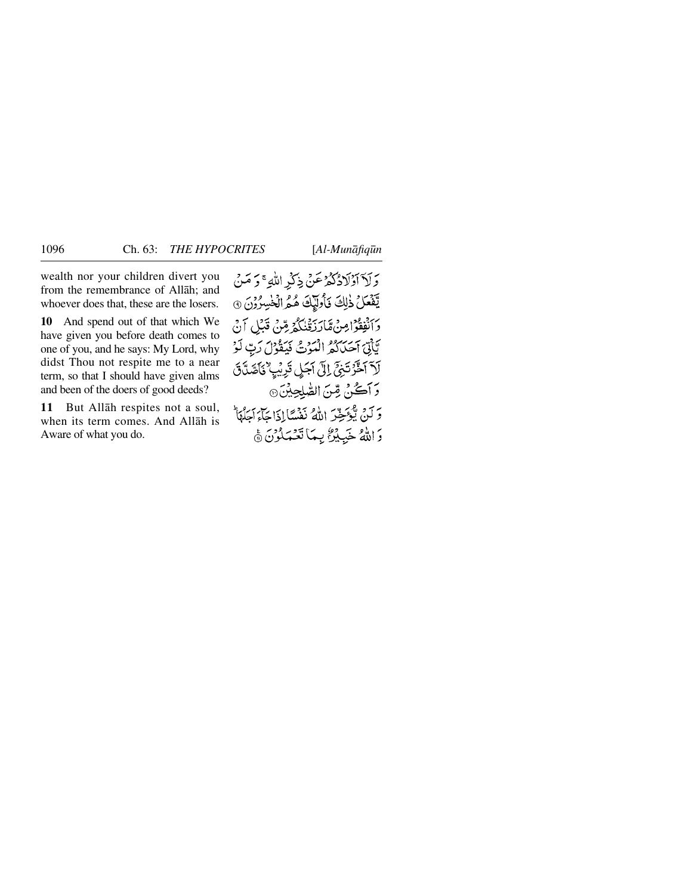wealth nor your children divert you from the remembrance of Allåh; and whoever does that, these are the losers.

**10** And spend out of that which We have given you before death comes to one of you, and he says: My Lord, why didst Thou not respite me to a near term, so that I should have given alms and been of the doers of good deeds?

**11** But Allåh respites not a soul, when its term comes. And Allåh is Aware of what you do.

وَلَآ أَوۡلَادُكُمۡ عَنۡ ذِكۡرِ اللَّهِ ۚ وَ مَنۡ يَّفَعَلُ ذٰلِكَ نَأْوَلَٰإِكَ هُمُ الْخَٰسِرُوْنَ ٢ وَأَنْفِقُوْا مِنْ مَّارَزَقْنَكُمْ مِّنْ قَبْلِ آنْ يَّاتِيَ احْدَاكُمُّ الْمُوْتُ فَيَقُوْلَ رَبِّ لَوْ لَآ ٱخَّرۡتَیۡیَ ۚ إِلَىٰ ٱجَلِىٰ قَرِیۡیٖ ٰ یَاۡصَلَّاتَ وَآَكُنْ مِّنَ الصَّلِحِينَ۞ وَكَنْ يُؤْخِرَ اللَّهُ نَفْسًاإِذَا جَاءَ جَلَّهَا وَ اللَّهُ خَبِيْرٌ بِمَا تَعْمَلُوْنَ ﴾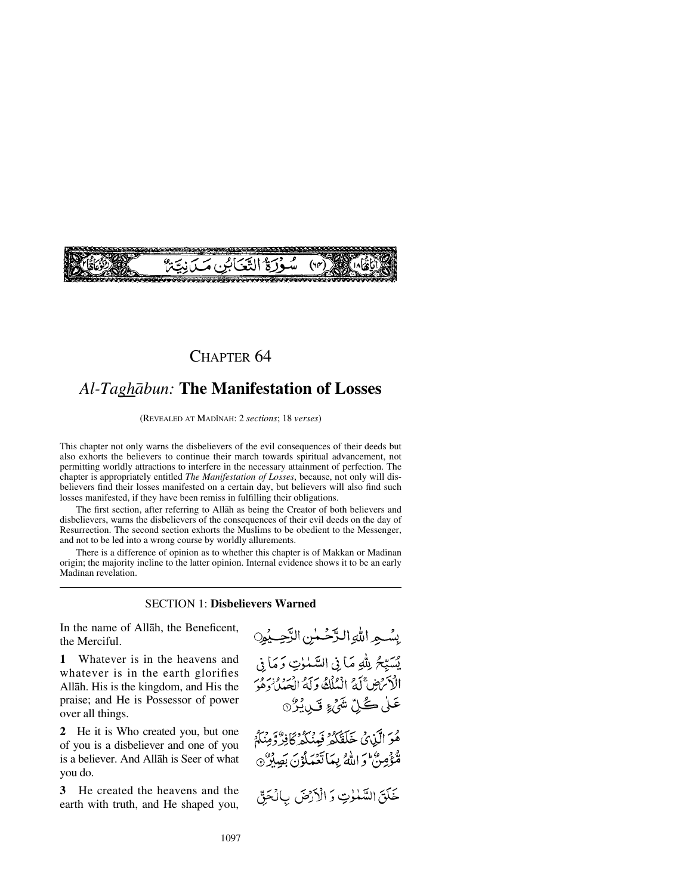# (5ْ التَّعْيَابُينِ مَهْ

## CHAPTER 64

# *Al-Taghåbun:* **The Manifestation of Losses**

(REVEALED AT MADÍNAH: 2 *sections*; 18 *verses*)

This chapter not only warns the disbelievers of the evil consequences of their deeds but also exhorts the believers to continue their march towards spiritual advancement, not permitting worldly attractions to interfere in the necessary attainment of perfection. The chapter is appropriately entitled *The Manifestation of Losses*, because, not only will disbelievers find their losses manifested on a certain day, but believers will also find such losses manifested, if they have been remiss in fulfilling their obligations.

The first section, after referring to Allåh as being the Creator of both believers and disbelievers, warns the disbelievers of the consequences of their evil deeds on the day of Resurrection. The second section exhorts the Muslims to be obedient to the Messenger, and not to be led into a wrong course by worldly allurements.

There is a difference of opinion as to whether this chapter is of Makkan or Madinan origin; the majority incline to the latter opinion. Internal evidence shows it to be an early Madinan revelation.

### SECTION 1: **Disbelievers Warned**

In the name of Allåh, the Beneficent, the Merciful.

**1** Whatever is in the heavens and whatever is in the earth glorifies Allåh. His is the kingdom, and His the praise; and He is Possessor of power over all things.

**2** He it is Who created you, but one of you is a disbeliever and one of you is a believer. And Allåh is Seer of what you do.

**3** He created the heavens and the earth with truth, and He shaped you, بِسُهِ اللهِ الرَّحُمٰنِ الرَّحِيْمِِ يسبِّحُ بِللهِ مَا فِي السَّمْوٰتِ وَمَا فِي الْأَمْرَضِ ۚ لَهُ ۚ الْمُلْكُ وَ لَهُ الْعَبِدِ ۚ وَرَ مِّن عَلٰى ڪُلِّ شَيۡءٍ تَبِيۡرُ ۞

هُوَ الَّذِينُ خَلَقَكُمْ فِيئُكُمْ كَافِرٌ وَمِنَكُمْ مُنْتَوْصِرٌ أَحْ اللَّهُ بِيمَا تَعْمَلُوْنَ بَصِلَرٌ ۞

خَلَقَ السَّمْلُوتِ وَ الْأَرْضَ بِالْحَقِّ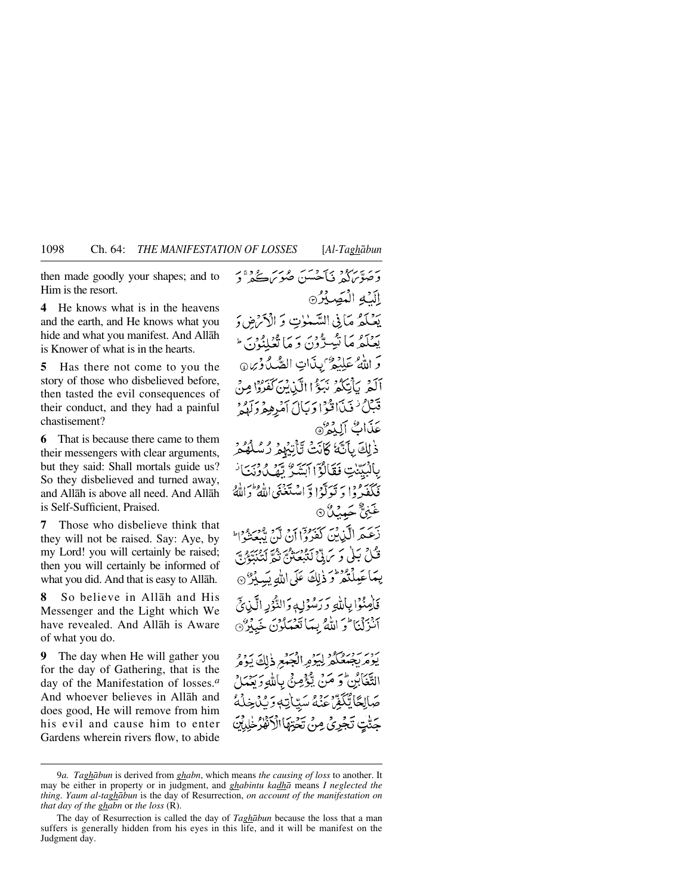then made goodly your shapes; and to Him is the resort.

**4** He knows what is in the heavens and the earth, and He knows what you hide and what you manifest. And Allåh is Knower of what is in the hearts.

**5** Has there not come to you the story of those who disbelieved before, then tasted the evil consequences of their conduct, and they had a painful chastisement?

**6** That is because there came to them their messengers with clear arguments, but they said: Shall mortals guide us? So they disbelieved and turned away, and Allåh is above all need. And Allåh is Self-Sufficient, Praised.

**7** Those who disbelieve think that they will not be raised. Say: Aye, by my Lord! you will certainly be raised; then you will certainly be informed of what you did. And that is easy to Allåh.

**8** So believe in Allåh and His Messenger and the Light which We have revealed. And Allåh is Aware of what you do.

**9** The day when He will gather you for the day of Gathering, that is the day of the Manifestation of losses.*<sup>a</sup>* And whoever believes in Allåh and does good, He will remove from him his evil and cause him to enter Gardens wherein rivers flow, to abide

بر سرگرد کی جس مرکز ہے دی۔<br>وصوبرگہ فیاحسن صوبر کے د الكه الكصيرة يَضْلَعْهُ مَآنِي السَّمْلاتِ وَ الْأَدْرَضِ وَ یبیمکه که ایمبرگون و ما تعلینون ا وَ اللَّهُ عَلِيْهِ ۚ بِذَاتِ الصُّبُّ ذِينٍ ۞ آلَهُمْ بِأَنْتِكُمْ نَبَعُّ!الَّيْنِ يُسَرِّئُهُ وَإِمِنْ قَبَلْ ٰ فَيَدَاقَنُوْا وَيَأْلَ أَمُرِهِهِ وَلَهُهُ ۚ عَدَّاتٌ أَلِدُهُ @ ذٰلِكَ بِأَنَّهُ كَانَتْ تَأْتِبُهِ ۚ رُسُّ بِالْبَيِّنْتِ فَقَالَةَ اآتِشَةٌ تَمْكِنُّ دَنْتَانَ نَكَفَدُوا دَ نَرَلَّهُ! وَ اسْتَغَنَى اللَّهُ وَ غَبۡنٌ ۡحَمِیۡنُدُ ۞ بر به الگذين كَعُدُودَ بن ملحق موسود.<br>زَعَيْمِ الَّكْزِيْنَ كَعُرُوا أَنْ لَنْ يَبْعَثُوا ۖ قْتُلْ بَيْلَى وَ سَ تَيْ كَنْبْعَةَ ثُمَّ قَالَةً يَمْ يَبْدَئَهَمْ بَيْ يِمَاعَيِلْتُمْرَّرَ ذٰلِكَ عَلَى اللهِ بَيْدِيْرٌ ۞ فَأَصِنُوا بِأَلَّٰهِ وَرَسُوْلِ وَالتَّوُدِ الَّيْنِ فَيَ آنْزِلْنَا وَ اللَّهُ بِيَا نَعْبَلُوْنَ خَبِيْرٌ ۞ التَّغَابْنِ وَ مَنْ يُؤْمِنُ بِاللهِ وَيَعْمَلْ صَالِحًا يُّكَفِّ عَنْهُ سَيِّأَتِهٖ وَيُدْخِلُهُ حَدَّّتِ تَجْرِيُّ مِنْ تَحْتِهَا الْأَنْفَارُ خَلِيلَنَّ

<sup>9</sup>*a. Taghåbun* is derived from *ghabn*, which means *the causing of loss* to another. It may be either in property or in judgment, and *ghabintu kadhå* means *I neglected the thing. Yaum al-taghåbun* is the day of Resurrection, *on account of the manifestation on that day of the ghabn* or *the loss* (R).

The day of Resurrection is called the day of *Taghåbun* because the loss that a man suffers is generally hidden from his eyes in this life, and it will be manifest on the Judgment day.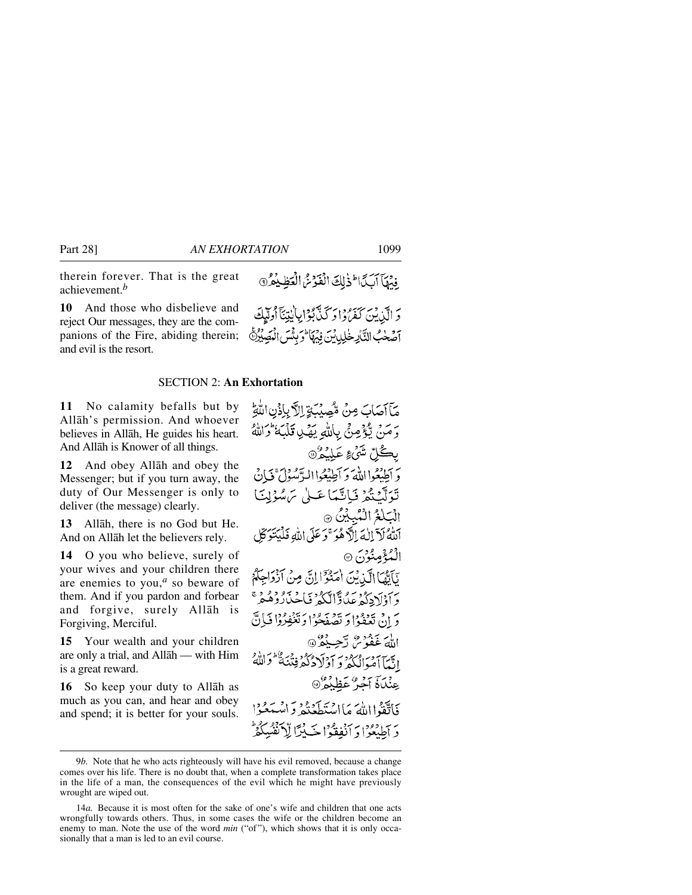therein forever. That is the great achievement.*<sup>b</sup>*

**10** And those who disbelieve and reject Our messages, they are the companions of the Fire, abiding therein; and evil is the resort.

### SECTION 2: **An Exhortation**

**11** No calamity befalls but by Allåh's permission. And whoever believes in Allåh, He guides his heart. And Allåh is Knower of all things.

**12** And obey Allåh and obey the Messenger; but if you turn away, the duty of Our Messenger is only to deliver (the message) clearly.

**13** Allåh, there is no God but He. And on Allåh let the believers rely.

**14** O you who believe, surely of your wives and your children there are enemies to you,*<sup>a</sup>* so beware of them. And if you pardon and forbear and forgive, surely Allåh is Forgiving, Merciful.

**15** Your wealth and your children are only a trial, and Allåh — with Him is a great reward.

**16** So keep your duty to Allåh as much as you can, and hear and obey and spend; it is better for your souls. مَآآصَابَ مِنْ مُّصِيْبَةٍ إِلاَّ بِإِذْنِ اللَّهِ رَ مَنْ يُؤْمِنْ بِاللَّهِ يَهْدِ قَلْبَهُ ۚ وَاللَّهُ بِكُلِّ شَيْءٍ عَلِيْمُ ® رَ أُطِيعُوا اللَّهُ وَ أَطِيعُوا الدَّمْولَ ۚ فَبَانَ تَوَلَّكَنَّكَمْ فَبَاتَّعَهَا عَيْلَ سَ سُؤلِيَنَا الْبَلْغُ الْمُبِيْنُ ٢ اللَّهُ لَآ إِلَٰہَ إِلَٰٓ هُوَ ۚ وَ عَلَى اللّٰهِ فَلَيۡنَوَكِّلِ الْمُدُّمِينُوْنَ ۞ نَأَمَّهَا الَّذِبْنَ أَمَنُوْٓالِابِّ، مِنْ أَذْوَاجِكُمْ رىزدىدۇر ئەر ئاتىدۇر.<br>د اۆلادگۇغىگارالىگە فاخىلاردىقىم دَ إِنْ تَعْفَوْا دَ تَصْفَحُوا دَ تَغْفِرُوْا فَبَانٌ اللهَ غَفُوْسٌ رَّحِيْهُ ۞ إِنَّمَآ أَمُوَالُّكُمۡ وَ اَوۡلَادُكُمۡ فِنۡنَهُ ۚ وَاللَّهُ عِنْدَاهُ آَجُرٌ عَظِيْمٌ @ فَاتَّقَوْااللَّهَ مَااسْتَطَعَنْهُ وَاسْتَعْبَالَ دَ آطِيعُوْا دَ آنْفِقُوْا جَبِيْرًا لِّلاَنْفُيْهُ

ِ فَيُهَآ أَبَدَآ الْذَٰلِكَ الْفَوْسُ الْعَظِيْمُرُ 9 دَ الَّذِينَ كَفَرٌدُا دَ كَنَّابُوْا بِابْتِنَآ أُدلَّلِكَ أَصْحٰبُ التَّاْرِخْلِيدِينَ فِيُهَا كَوَبِثَّيسَ الْمَصِبُرِثَ

<sup>9</sup>*b.* Note that he who acts righteously will have his evil removed, because a change comes over his life. There is no doubt that, when a complete transformation takes place in the life of a man, the consequences of the evil which he might have previously wrought are wiped out.

<sup>14</sup>*a.* Because it is most often for the sake of one's wife and children that one acts wrongfully towards others. Thus, in some cases the wife or the children become an enemy to man. Note the use of the word *min* ("of"), which shows that it is only occasionally that a man is led to an evil course.